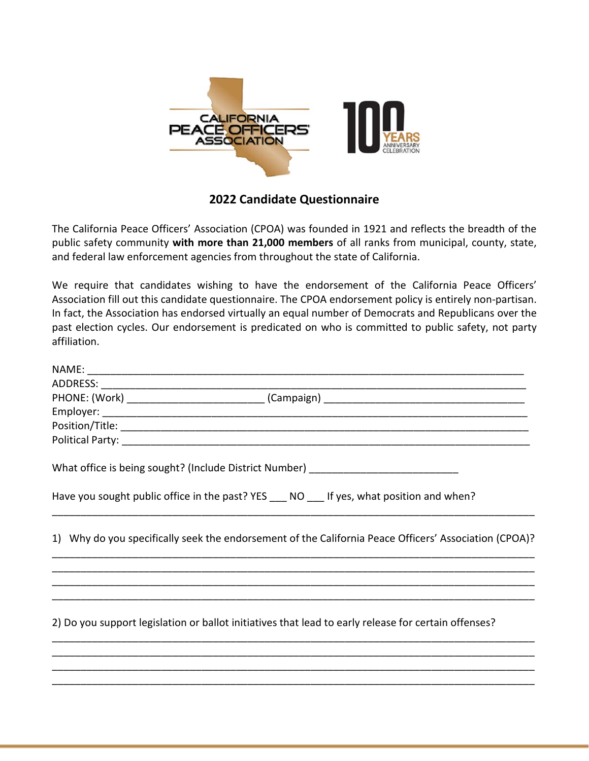

## **2022 Candidate Questionnaire**

The California Peace Officers' Association (CPOA) was founded in 1921 and reflects the breadth of the public safety community **with more than 21,000 members** of all ranks from municipal, county, state, and federal law enforcement agencies from throughout the state of California.

We require that candidates wishing to have the endorsement of the California Peace Officers' Association fill out this candidate questionnaire. The CPOA endorsement policy is entirely non-partisan. In fact, the Association has endorsed virtually an equal number of Democrats and Republicans over the past election cycles. Our endorsement is predicated on who is committed to public safety, not party affiliation.

| What office is being sought? (Include District Number) _________________________                      |
|-------------------------------------------------------------------------------------------------------|
| Have you sought public office in the past? YES ___ NO ___ If yes, what position and when?             |
| 1) Why do you specifically seek the endorsement of the California Peace Officers' Association (CPOA)? |
|                                                                                                       |
| 2) Do you support legislation or ballot initiatives that lead to early release for certain offenses?  |
|                                                                                                       |

\_\_\_\_\_\_\_\_\_\_\_\_\_\_\_\_\_\_\_\_\_\_\_\_\_\_\_\_\_\_\_\_\_\_\_\_\_\_\_\_\_\_\_\_\_\_\_\_\_\_\_\_\_\_\_\_\_\_\_\_\_\_\_\_\_\_\_\_\_\_\_\_\_\_\_\_\_\_\_\_\_\_\_\_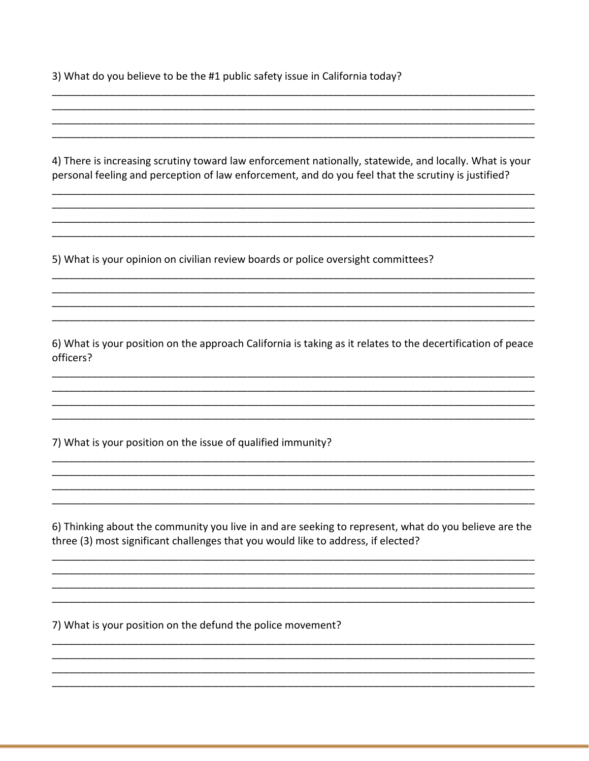3) What do you believe to be the #1 public safety issue in California today?

4) There is increasing scrutiny toward law enforcement nationally, statewide, and locally. What is your personal feeling and perception of law enforcement, and do you feel that the scrutiny is justified?

5) What is your opinion on civilian review boards or police oversight committees?

6) What is your position on the approach California is taking as it relates to the decertification of peace officers?

7) What is your position on the issue of qualified immunity?

6) Thinking about the community you live in and are seeking to represent, what do you believe are the three (3) most significant challenges that you would like to address, if elected?

7) What is your position on the defund the police movement?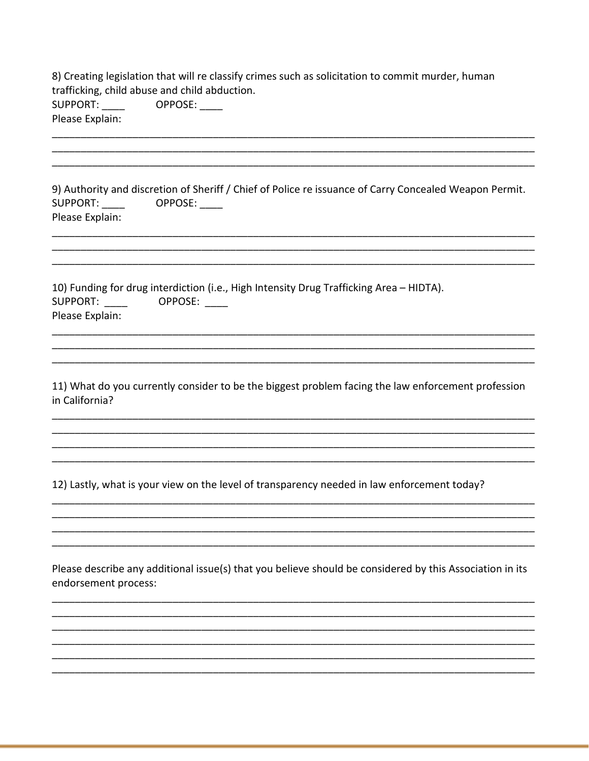| 8) Creating legislation that will re classify crimes such as solicitation to commit murder, human<br>trafficking, child abuse and child abduction.<br>SUPPORT:<br>OPPOSE:<br>Please Explain:                                                                                                                                                           |
|--------------------------------------------------------------------------------------------------------------------------------------------------------------------------------------------------------------------------------------------------------------------------------------------------------------------------------------------------------|
|                                                                                                                                                                                                                                                                                                                                                        |
| 9) Authority and discretion of Sheriff / Chief of Police re issuance of Carry Concealed Weapon Permit.<br>SUPPORT: ____<br>OPPOSE:<br>Please Explain:                                                                                                                                                                                                  |
| 10) Funding for drug interdiction (i.e., High Intensity Drug Trafficking Area - HIDTA).<br>SUPPORT: NOTE OF THE STATE OF THE STATE OF THE STATE OF THE STATE OF THE STATE OF THE STATE OF THE STATE OF THE STATE OF THE STATE OF THE STATE OF THE STATE OF THE STATE OF THE STATE OF THE STATE OF THE STATE OF THE STATE<br>OPPOSE:<br>Please Explain: |
| 11) What do you currently consider to be the biggest problem facing the law enforcement profession<br>in California?                                                                                                                                                                                                                                   |
| 12) Lastly, what is your view on the level of transparency needed in law enforcement today?                                                                                                                                                                                                                                                            |
| Please describe any additional issue(s) that you believe should be considered by this Association in its<br>endorsement process:                                                                                                                                                                                                                       |
|                                                                                                                                                                                                                                                                                                                                                        |